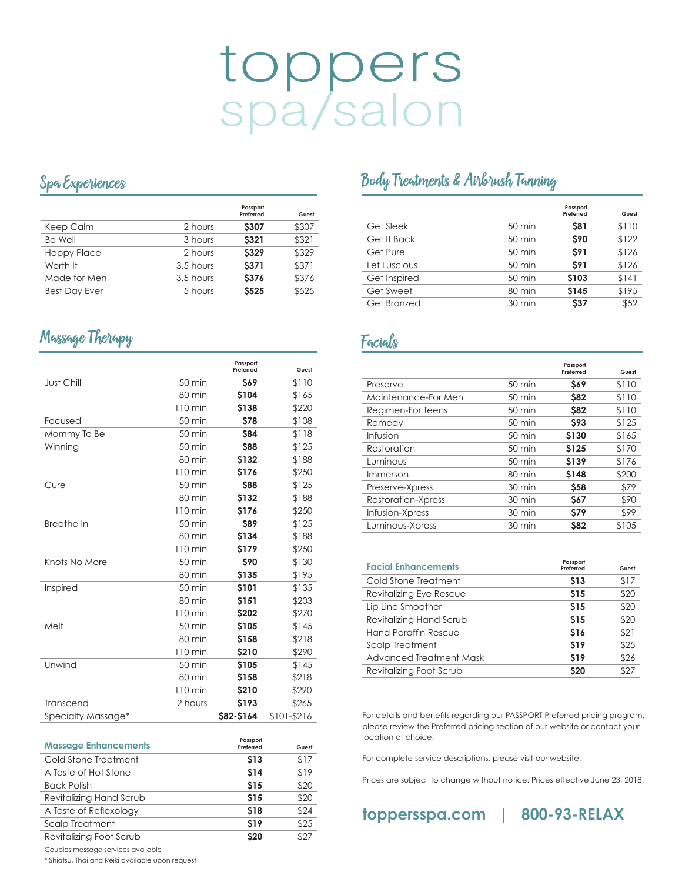# toppers<br>spa/salon

## Spa Experiences

|                      |           | Passport<br>Preferred | Guest |
|----------------------|-----------|-----------------------|-------|
| Keep Calm            | 2 hours   | <b>\$307</b>          | \$307 |
| Be Well              | 3 hours   | <b>S321</b>           | \$321 |
| <b>Happy Place</b>   | 2 hours   | <b>S329</b>           | \$329 |
| Worth It             | 3.5 hours | <b>S371</b>           | \$371 |
| Made for Men         | 3.5 hours | <b>S376</b>           | \$376 |
| <b>Best Day Ever</b> | 5 hours   | <b>S525</b>           | \$525 |

# Massage Therapy extension of the Facials

|                    |                   | Passport<br>Preferred | Guest       |
|--------------------|-------------------|-----------------------|-------------|
| Just Chill         | $50 \text{ min}$  | <b>S69</b>            | \$110       |
|                    | 80 min            | \$104                 | \$165       |
|                    | $110 \text{ min}$ | \$138                 | \$220       |
| Focused            | $50 \text{ min}$  | <b>\$78</b>           | \$108       |
| Mommy To Be        | $50 \text{ min}$  | <b>\$84</b>           | \$118       |
| Winning            | $50 \text{ min}$  | <b>\$88</b>           | \$125       |
|                    | 80 min            | \$132                 | \$188       |
|                    | 110 min           | <b>S176</b>           | \$250       |
| Cure               | $50 \text{ min}$  | <b>\$88</b>           | \$125       |
|                    | $80 \text{ min}$  | \$132                 | \$188       |
|                    | $110 \text{ min}$ | \$176                 | \$250       |
| <b>Breathe In</b>  | $50 \text{ min}$  | <b>S89</b>            | \$125       |
|                    | 80 min            | \$134                 | \$188       |
|                    | $110 \text{ min}$ | \$179                 | \$250       |
| Knots No More      | $50 \text{ min}$  | \$90                  | \$130       |
|                    | 80 min            | <b>S135</b>           | \$195       |
| Inspired           | $50 \text{ min}$  | \$101                 | \$135       |
|                    | $80 \text{ min}$  | \$151                 | \$203       |
|                    | $110 \text{ min}$ | \$202                 | \$270       |
| Melt               | $50 \text{ min}$  | <b>S105</b>           | \$145       |
|                    | 80 min            | \$158                 | \$218       |
|                    | $110 \text{ min}$ | \$210                 | \$290       |
| Unwind             | $50 \text{ min}$  | <b>S105</b>           | \$145       |
|                    | 80 min            | <b>S158</b>           | \$218       |
|                    | 110 min           | <b>S210</b>           | \$290       |
| Transcend          | 2 hours           | \$193                 | \$265       |
| Specialty Massage* |                   | \$82-\$164            | \$101-\$216 |

| <b>Massage Enhancements</b> | Passport<br>Preferred | Guest |
|-----------------------------|-----------------------|-------|
| Cold Stone Treatment        | <b>S13</b>            | \$17  |
| A Taste of Hot Stone        | \$14                  | \$19  |
| <b>Back Polish</b>          | <b>S15</b>            | \$20  |
| Revitalizing Hand Scrub     | <b>S15</b>            | \$20  |
| A Taste of Reflexology      | <b>S18</b>            | \$24  |
| Scalp Treatment             | \$19                  | \$25  |
| Revitalizing Foot Scrub     | <b>S20</b>            | \$27  |

# Body Treatments & Airbrush Tanning

|              |                  | Passport<br>Preferred | Guest |
|--------------|------------------|-----------------------|-------|
| Get Sleek    | $50 \text{ min}$ | \$81                  | \$110 |
| Get It Back  | $50 \text{ min}$ | \$90                  | \$122 |
| Get Pure     | $50 \text{ min}$ | \$91                  | \$126 |
| Let Luscious | $50 \text{ min}$ | \$91                  | \$126 |
| Get Inspired | $50 \text{ min}$ | \$103                 | \$141 |
| Get Sweet    | $80 \text{ min}$ | <b>S145</b>           | \$195 |
| Get Bronzed  | $30 \text{ min}$ | \$37                  | \$52  |

|                     |                  | Passport<br>Preferred | Guest |
|---------------------|------------------|-----------------------|-------|
| Preserve            | $50 \text{ min}$ | <b>S69</b>            | \$110 |
| Maintenance-For Men | $50 \text{ min}$ | <b>S82</b>            | \$110 |
| Regimen-For Teens   | $50 \text{ min}$ | <b>S82</b>            | \$110 |
| Remedy              | $50 \text{ min}$ | <b>S93</b>            | \$125 |
| Infusion            | $50 \text{ min}$ | \$130                 | \$165 |
| Restoration         | $50 \text{ min}$ | <b>S125</b>           | \$170 |
| Luminous            | $50 \text{ min}$ | \$139                 | \$176 |
| Immerson            | $80 \text{ min}$ | \$148                 | \$200 |
| Preserve-Xpress     | $30 \text{ min}$ | \$58                  | \$79  |
| Restoration-Xpress  | $30 \text{ min}$ | <b>S67</b>            | \$90  |
| Infusion-Xpress     | $30 \text{ min}$ | <b>S79</b>            | \$99  |
| Luminous-Xpress     | $30 \text{ min}$ | <b>\$82</b>           | \$105 |

| <b>Facial Enhancements</b> | Passport<br>Preferred | Guest |
|----------------------------|-----------------------|-------|
| Cold Stone Treatment       | \$13                  | \$17  |
| Revitalizing Eye Rescue    | <b>S15</b>            | \$20  |
| Lip Line Smoother          | <b>S15</b>            | \$20  |
| Revitalizing Hand Scrub    | <b>S15</b>            | \$20  |
| Hand Paraffin Rescue       | \$16                  | \$21  |
| Scalp Treatment            | \$19                  | \$25  |
| Advanced Treatment Mask    | <b>S19</b>            | \$26  |
| Revitalizing Foot Scrub    | \$20                  | \$27  |

For details and benefits regarding our PASSPORT Preferred pricing program, please review the Preferred pricing section of our website or contact your location of choice.

For complete service descriptions, please visit our website.

Prices are subject to change without notice. Prices effective June 23, 2018.



Couples massage services available

\* Shiatsu, Thai and Reiki available upon request